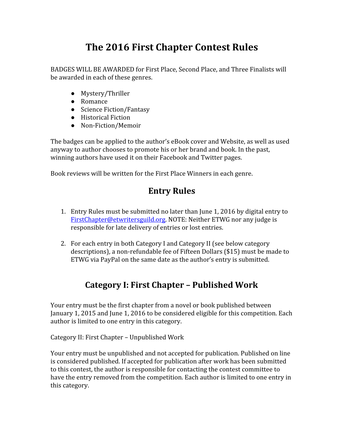## **The 2016 First Chapter Contest Rules**

BADGES WILL BE AWARDED for First Place, Second Place, and Three Finalists will be awarded in each of these genres.

- Mystery/Thriller
- Romance
- Science Fiction/Fantasy
- Historical Fiction
- Non-Fiction/Memoir

The badges can be applied to the author's eBook cover and Website, as well as used anyway to author chooses to promote his or her brand and book. In the past, winning authors have used it on their Facebook and Twitter pages.

Book reviews will be written for the First Place Winners in each genre.

## **Entry Rules**

- 1. Entry Rules must be submitted no later than June 1, 2016 by digital entry to [FirstChapter@etwritersguild.org.](mailto:FirstChapter@etwritersguild.org) NOTE: Neither ETWG nor any judge is responsible for late delivery of entries or lost entries.
- 2. For each entry in both Category I and Category II (see below category descriptions), a non‐refundable fee of Fifteen Dollars (\$15) must be made to ETWG via PayPal on the same date as the author's entry is submitted.

## **Category I: First Chapter – Published Work**

Your entry must be the first chapter from a novel or book published between January 1, 2015 and June 1, 2016 to be considered eligible for this competition. Each author is limited to one entry in this category.

Category II: First Chapter – Unpublished Work

Your entry must be unpublished and not accepted for publication. Published on line is considered published. If accepted for publication after work has been submitted to this contest, the author is responsible for contacting the contest committee to have the entry removed from the competition. Each author is limited to one entry in this category.